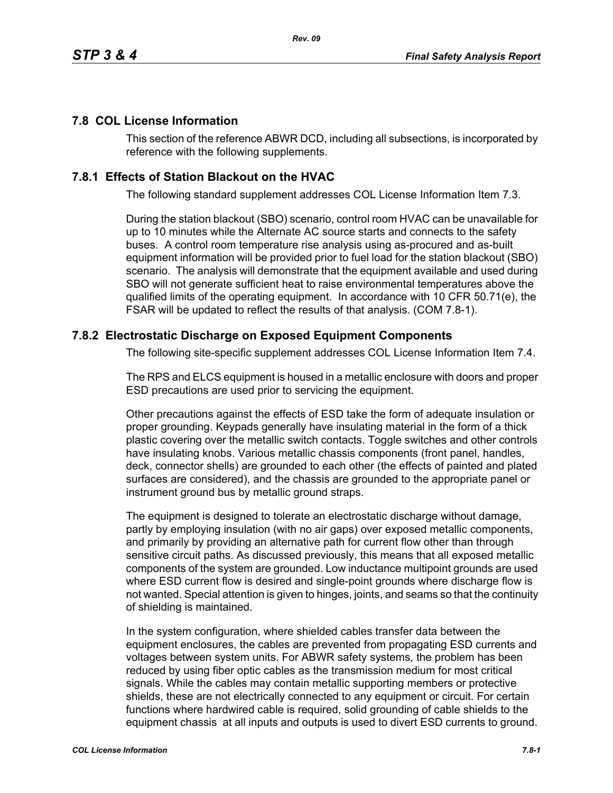## **7.8 COL License Information**

This section of the reference ABWR DCD, including all subsections, is incorporated by reference with the following supplements.

## **7.8.1 Effects of Station Blackout on the HVAC**

The following standard supplement addresses COL License Information Item 7.3.

During the station blackout (SBO) scenario, control room HVAC can be unavailable for up to 10 minutes while the Alternate AC source starts and connects to the safety buses. A control room temperature rise analysis using as-procured and as-built equipment information will be provided prior to fuel load for the station blackout (SBO) scenario. The analysis will demonstrate that the equipment available and used during SBO will not generate sufficient heat to raise environmental temperatures above the qualified limits of the operating equipment. In accordance with 10 CFR 50.71(e), the FSAR will be updated to reflect the results of that analysis. (COM 7.8-1).

## **7.8.2 Electrostatic Discharge on Exposed Equipment Components**

The following site-specific supplement addresses COL License Information Item 7.4.

The RPS and ELCS equipment is housed in a metallic enclosure with doors and proper ESD precautions are used prior to servicing the equipment.

Other precautions against the effects of ESD take the form of adequate insulation or proper grounding. Keypads generally have insulating material in the form of a thick plastic covering over the metallic switch contacts. Toggle switches and other controls have insulating knobs. Various metallic chassis components (front panel, handles, deck, connector shells) are grounded to each other (the effects of painted and plated surfaces are considered), and the chassis are grounded to the appropriate panel or instrument ground bus by metallic ground straps.

The equipment is designed to tolerate an electrostatic discharge without damage, partly by employing insulation (with no air gaps) over exposed metallic components, and primarily by providing an alternative path for current flow other than through sensitive circuit paths. As discussed previously, this means that all exposed metallic components of the system are grounded. Low inductance multipoint grounds are used where ESD current flow is desired and single-point grounds where discharge flow is not wanted. Special attention is given to hinges, joints, and seams so that the continuity of shielding is maintained.

In the system configuration, where shielded cables transfer data between the equipment enclosures, the cables are prevented from propagating ESD currents and voltages between system units. For ABWR safety systems, the problem has been reduced by using fiber optic cables as the transmission medium for most critical signals. While the cables may contain metallic supporting members or protective shields, these are not electrically connected to any equipment or circuit. For certain functions where hardwired cable is required, solid grounding of cable shields to the equipment chassis at all inputs and outputs is used to divert ESD currents to ground.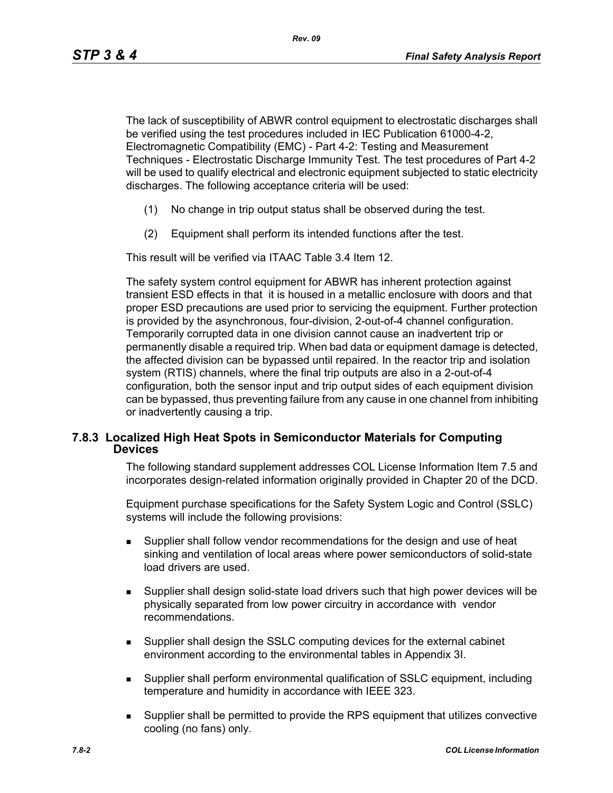The lack of susceptibility of ABWR control equipment to electrostatic discharges shall be verified using the test procedures included in IEC Publication 61000-4-2, Electromagnetic Compatibility (EMC) - Part 4-2: Testing and Measurement Techniques - Electrostatic Discharge Immunity Test. The test procedures of Part 4-2 will be used to qualify electrical and electronic equipment subjected to static electricity discharges. The following acceptance criteria will be used:

- (1) No change in trip output status shall be observed during the test.
- (2) Equipment shall perform its intended functions after the test.

This result will be verified via ITAAC Table 3.4 Item 12.

The safety system control equipment for ABWR has inherent protection against transient ESD effects in that it is housed in a metallic enclosure with doors and that proper ESD precautions are used prior to servicing the equipment. Further protection is provided by the asynchronous, four-division, 2-out-of-4 channel configuration. Temporarily corrupted data in one division cannot cause an inadvertent trip or permanently disable a required trip. When bad data or equipment damage is detected, the affected division can be bypassed until repaired. In the reactor trip and isolation system (RTIS) channels, where the final trip outputs are also in a 2-out-of-4 configuration, both the sensor input and trip output sides of each equipment division can be bypassed, thus preventing failure from any cause in one channel from inhibiting or inadvertently causing a trip.

## **7.8.3 Localized High Heat Spots in Semiconductor Materials for Computing Devices**

The following standard supplement addresses COL License Information Item 7.5 and incorporates design-related information originally provided in Chapter 20 of the DCD.

Equipment purchase specifications for the Safety System Logic and Control (SSLC) systems will include the following provisions:

- Supplier shall follow vendor recommendations for the design and use of heat sinking and ventilation of local areas where power semiconductors of solid-state load drivers are used.
- Supplier shall design solid-state load drivers such that high power devices will be physically separated from low power circuitry in accordance with vendor recommendations.
- Supplier shall design the SSLC computing devices for the external cabinet environment according to the environmental tables in Appendix 3I.
- Supplier shall perform environmental qualification of SSLC equipment, including temperature and humidity in accordance with IEEE 323.
- Supplier shall be permitted to provide the RPS equipment that utilizes convective cooling (no fans) only.